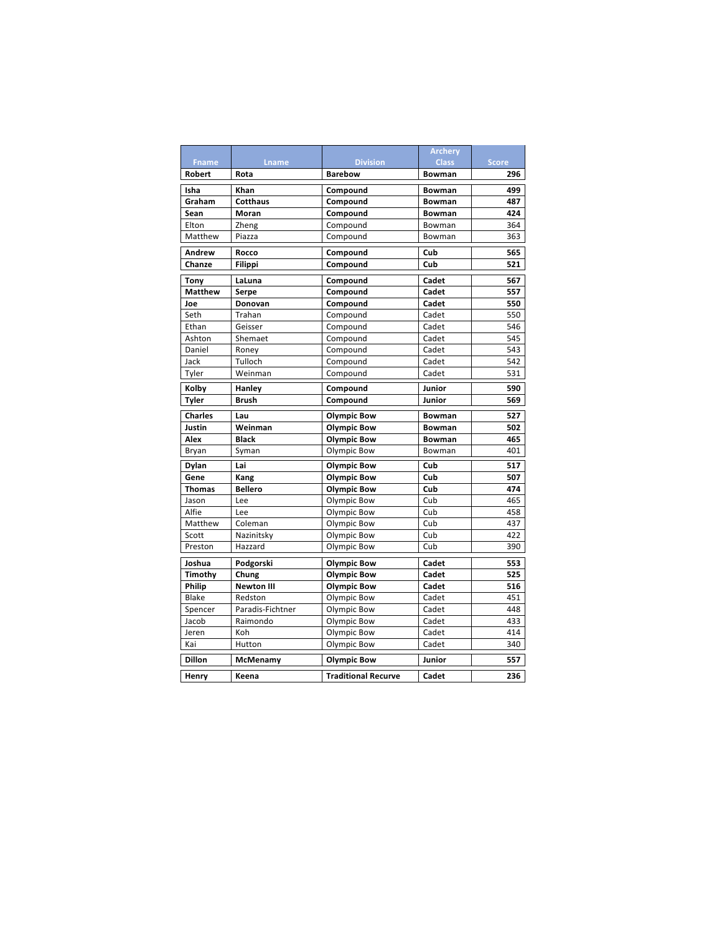|                |                   |                            | <b>Archery</b> |              |
|----------------|-------------------|----------------------------|----------------|--------------|
| <b>Fname</b>   | <b>Lname</b>      | <b>Division</b>            | <b>Class</b>   | <b>Score</b> |
| Robert         | Rota              | <b>Barebow</b>             | <b>Bowman</b>  | 296          |
| Isha           | Khan              | Compound                   | <b>Bowman</b>  | 499          |
| Graham         | <b>Cotthaus</b>   | Compound                   | <b>Bowman</b>  | 487          |
| Sean           | Moran             | Compound                   | <b>Bowman</b>  | 424          |
| Elton          | Zheng             | Compound                   | Bowman         | 364          |
| Matthew        | Piazza            | Compound                   | Bowman         | 363          |
| Andrew         | Rocco             | Compound                   | Cub            | 565          |
| Chanze         | Filippi           | Compound                   | Cub            | 521          |
| Tony           | LaLuna            | Compound                   | Cadet          | 567          |
| <b>Matthew</b> | Serpe             | Compound                   | Cadet          | 557          |
| Joe            | Donovan           | Compound                   | Cadet          | 550          |
| Seth           | Trahan            | Compound                   | Cadet          | 550          |
| Ethan          | Geisser           | Compound                   | Cadet          | 546          |
| Ashton         | Shemaet           | Compound                   | Cadet          | 545          |
| Daniel         | Roney             | Compound                   | Cadet          | 543          |
| Jack           | Tulloch           | Compound                   | Cadet          | 542          |
| Tyler          | Weinman           | Compound                   | Cadet          | 531          |
| Kolby          | Hanley            | Compound                   | Junior         | 590          |
| Tyler          | <b>Brush</b>      | Compound                   | Junior         | 569          |
| <b>Charles</b> | Lau               | <b>Olympic Bow</b>         | <b>Bowman</b>  | 527          |
| Justin         | Weinman           | <b>Olympic Bow</b>         | <b>Bowman</b>  | 502          |
| Alex           | <b>Black</b>      | <b>Olympic Bow</b>         | <b>Bowman</b>  | 465          |
| Bryan          | Syman             | Olympic Bow                | Bowman         | 401          |
| Dylan          | Lai               | <b>Olympic Bow</b>         | Cub            | 517          |
| Gene           | Kang              | <b>Olympic Bow</b>         | Cub            | 507          |
| Thomas         | <b>Bellero</b>    | <b>Olympic Bow</b>         | Cub            | 474          |
| Jason          | Lee               | Olympic Bow                | Cub            | 465          |
| Alfie          | Lee               | Olympic Bow                | Cub            | 458          |
| Matthew        | Coleman           | Olympic Bow                | Cub            | 437          |
| Scott          | Nazinitsky        | Olympic Bow                | Cub            | 422          |
| Preston        | Hazzard           | Olympic Bow                | Cub            | 390          |
| Joshua         | Podgorski         | <b>Olympic Bow</b>         | Cadet          | 553          |
| Timothy        | Chung             | <b>Olympic Bow</b>         | Cadet          | 525          |
| Philip         | <b>Newton III</b> | <b>Olympic Bow</b>         | Cadet          | 516          |
| <b>Blake</b>   | Redston           | Olympic Bow                | Cadet          | 451          |
| Spencer        | Paradis-Fichtner  | Olympic Bow                | Cadet          | 448          |
| Jacob          | Raimondo          | Olympic Bow                | Cadet          | 433          |
| Jeren          | Koh               | Olympic Bow                | Cadet          | 414          |
| Kai            | Hutton            | Olympic Bow                | Cadet          | 340          |
| Dillon         | McMenamy          | <b>Olympic Bow</b>         | Junior         | 557          |
| Henry          | Keena             | <b>Traditional Recurve</b> | Cadet          | 236          |